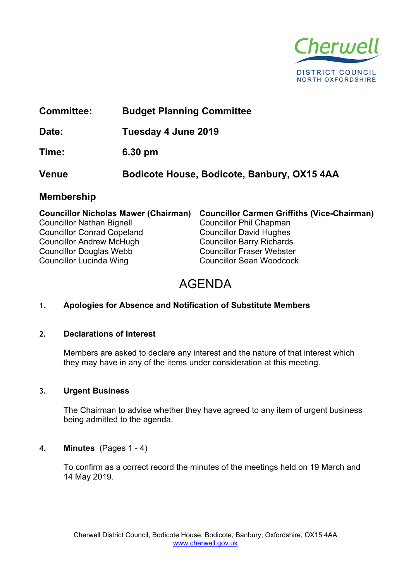

# **Committee: Budget Planning Committee Date: Tuesday 4 June 2019 Time: 6.30 pm**

**Venue Bodicote House, Bodicote, Banbury, OX15 4AA**

### **Membership**

| <b>Councillor Nicholas Mawer (Chairman)</b> | <b>Councillor Carmen Griffiths (Vice-Chairman)</b> |
|---------------------------------------------|----------------------------------------------------|
| <b>Councillor Nathan Bignell</b>            | <b>Councillor Phil Chapman</b>                     |
| <b>Councillor Conrad Copeland</b>           | <b>Councillor David Hughes</b>                     |
| <b>Councillor Andrew McHugh</b>             | <b>Councillor Barry Richards</b>                   |
| <b>Councillor Douglas Webb</b>              | <b>Councillor Fraser Webster</b>                   |
| Councillor Lucinda Wing                     | <b>Councillor Sean Woodcock</b>                    |

# AGENDA

#### **1. Apologies for Absence and Notification of Substitute Members**

#### **2. Declarations of Interest**

Members are asked to declare any interest and the nature of that interest which they may have in any of the items under consideration at this meeting.

#### **3. Urgent Business**

The Chairman to advise whether they have agreed to any item of urgent business being admitted to the agenda.

#### **4. Minutes** (Pages 1 - 4)

To confirm as a correct record the minutes of the meetings held on 19 March and 14 May 2019.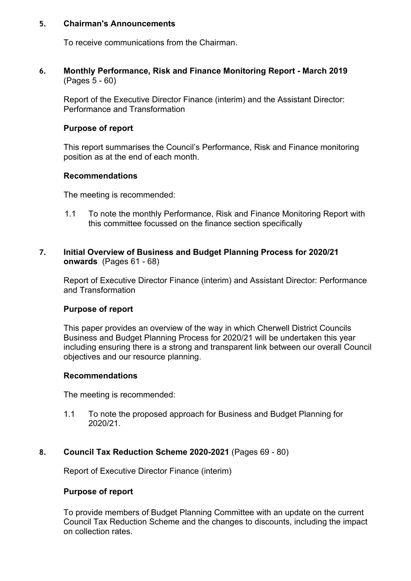#### **5. Chairman's Announcements**

To receive communications from the Chairman.

**6. Monthly Performance, Risk and Finance Monitoring Report - March 2019**  (Pages 5 - 60)

Report of the Executive Director Finance (interim) and the Assistant Director: Performance and Transformation

#### **Purpose of report**

This report summarises the Council's Performance, Risk and Finance monitoring position as at the end of each month.

#### **Recommendations**

The meeting is recommended:

1.1 To note the monthly Performance, Risk and Finance Monitoring Report with this committee focussed on the finance section specifically

#### **7. Initial Overview of Business and Budget Planning Process for 2020/21 onwards** (Pages 61 - 68)

Report of Executive Director Finance (interim) and Assistant Director: Performance and Transformation

#### **Purpose of report**

This paper provides an overview of the way in which Cherwell District Councils Business and Budget Planning Process for 2020/21 will be undertaken this year including ensuring there is a strong and transparent link between our overall Council objectives and our resource planning.

#### **Recommendations**

The meeting is recommended:

1.1 To note the proposed approach for Business and Budget Planning for 2020/21.

#### **8. Council Tax Reduction Scheme 2020-2021** (Pages 69 - 80)

Report of Executive Director Finance (interim)

#### **Purpose of report**

To provide members of Budget Planning Committee with an update on the current Council Tax Reduction Scheme and the changes to discounts, including the impact on collection rates.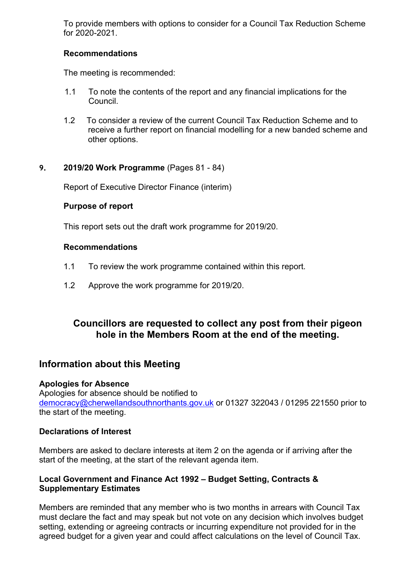To provide members with options to consider for a Council Tax Reduction Scheme for 2020-2021.

#### **Recommendations**

The meeting is recommended:

- 1.1 To note the contents of the report and any financial implications for the Council.
- 1.2 To consider a review of the current Council Tax Reduction Scheme and to receive a further report on financial modelling for a new banded scheme and other options.

#### **9. 2019/20 Work Programme** (Pages 81 - 84)

Report of Executive Director Finance (interim)

#### **Purpose of report**

This report sets out the draft work programme for 2019/20.

#### **Recommendations**

- 1.1 To review the work programme contained within this report.
- 1.2 Approve the work programme for 2019/20.

## **Councillors are requested to collect any post from their pigeon hole in the Members Room at the end of the meeting.**

#### **Information about this Meeting**

#### **Apologies for Absence**

Apologies for absence should be notified to [democracy@cherwellandsouthnorthants.gov.uk](mailto:democracy@cherwell-dc.gov.uk) or 01327 322043 / 01295 221550 prior to the start of the meeting.

#### **Declarations of Interest**

Members are asked to declare interests at item 2 on the agenda or if arriving after the start of the meeting, at the start of the relevant agenda item.

#### **Local Government and Finance Act 1992 – Budget Setting, Contracts & Supplementary Estimates**

Members are reminded that any member who is two months in arrears with Council Tax must declare the fact and may speak but not vote on any decision which involves budget setting, extending or agreeing contracts or incurring expenditure not provided for in the agreed budget for a given year and could affect calculations on the level of Council Tax.